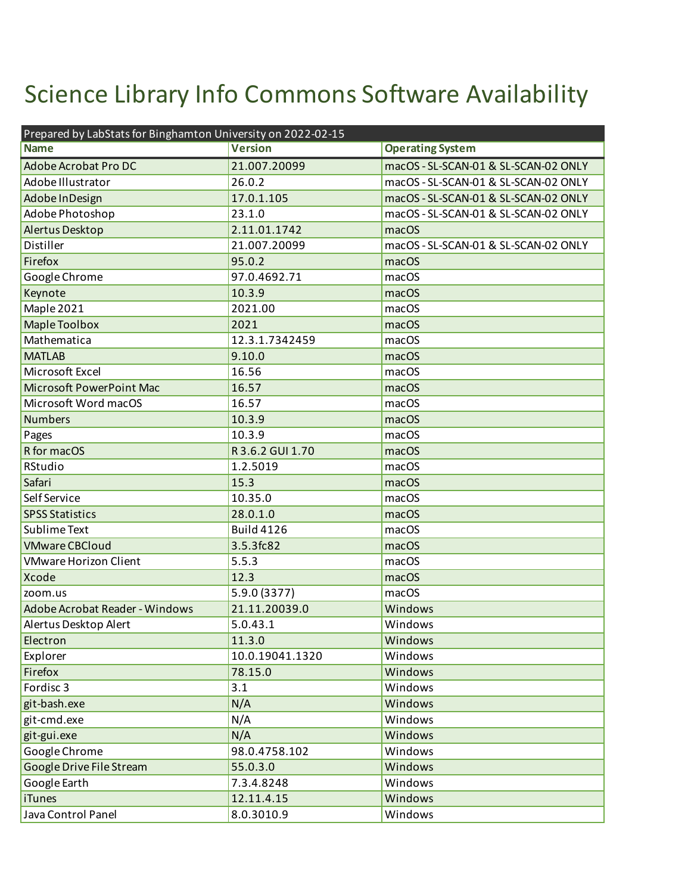## Science Library Info Commons Software Availability

| Prepared by LabStats for Binghamton University on 2022-02-15 |                   |                                      |  |
|--------------------------------------------------------------|-------------------|--------------------------------------|--|
| <b>Name</b>                                                  | <b>Version</b>    | <b>Operating System</b>              |  |
| Adobe Acrobat Pro DC                                         | 21.007.20099      | macOS - SL-SCAN-01 & SL-SCAN-02 ONLY |  |
| Adobe Illustrator                                            | 26.0.2            | macOS - SL-SCAN-01 & SL-SCAN-02 ONLY |  |
| Adobe In Design                                              | 17.0.1.105        | macOS - SL-SCAN-01 & SL-SCAN-02 ONLY |  |
| Adobe Photoshop                                              | 23.1.0            | macOS - SL-SCAN-01 & SL-SCAN-02 ONLY |  |
| Alertus Desktop                                              | 2.11.01.1742      | macOS                                |  |
| Distiller                                                    | 21.007.20099      | macOS - SL-SCAN-01 & SL-SCAN-02 ONLY |  |
| Firefox                                                      | 95.0.2            | macOS                                |  |
| Google Chrome                                                | 97.0.4692.71      | macOS                                |  |
| Keynote                                                      | 10.3.9            | macOS                                |  |
| Maple 2021                                                   | 2021.00           | macOS                                |  |
| <b>Maple Toolbox</b>                                         | 2021              | macOS                                |  |
| Mathematica                                                  | 12.3.1.7342459    | macOS                                |  |
| <b>MATLAB</b>                                                | 9.10.0            | macOS                                |  |
| Microsoft Excel                                              | 16.56             | macOS                                |  |
| Microsoft PowerPoint Mac                                     | 16.57             | macOS                                |  |
| Microsoft Word macOS                                         | 16.57             | macOS                                |  |
| <b>Numbers</b>                                               | 10.3.9            | macOS                                |  |
| Pages                                                        | 10.3.9            | macOS                                |  |
| R for macOS                                                  | R 3.6.2 GUI 1.70  | macOS                                |  |
| RStudio                                                      | 1.2.5019          | macOS                                |  |
| Safari                                                       | 15.3              | macOS                                |  |
| Self Service                                                 | 10.35.0           | macOS                                |  |
| <b>SPSS Statistics</b>                                       | 28.0.1.0          | macOS                                |  |
| Sublime Text                                                 | <b>Build 4126</b> | macOS                                |  |
| <b>VMware CBCloud</b>                                        | 3.5.3fc82         | macOS                                |  |
| <b>VMware Horizon Client</b>                                 | 5.5.3             | macOS                                |  |
| Xcode                                                        | 12.3              | macOS                                |  |
| zoom.us                                                      | 5.9.0 (3377)      | macOS                                |  |
| Adobe Acrobat Reader - Windows                               | 21.11.20039.0     | Windows                              |  |
| Alertus Desktop Alert                                        | 5.0.43.1          | Windows                              |  |
| Electron                                                     | 11.3.0            | Windows                              |  |
| Explorer                                                     | 10.0.19041.1320   | Windows                              |  |
| Firefox                                                      | 78.15.0           | Windows                              |  |
| Fordisc <sub>3</sub>                                         | 3.1               | Windows                              |  |
| git-bash.exe                                                 | N/A               | Windows                              |  |
| git-cmd.exe                                                  | N/A               | Windows                              |  |
| git-gui.exe                                                  | N/A               | Windows                              |  |
| Google Chrome                                                | 98.0.4758.102     | Windows                              |  |
| Google Drive File Stream                                     | 55.0.3.0          | Windows                              |  |
| Google Earth                                                 | 7.3.4.8248        | Windows                              |  |
| <b>iTunes</b>                                                | 12.11.4.15        | Windows                              |  |
| Java Control Panel                                           | 8.0.3010.9        | Windows                              |  |